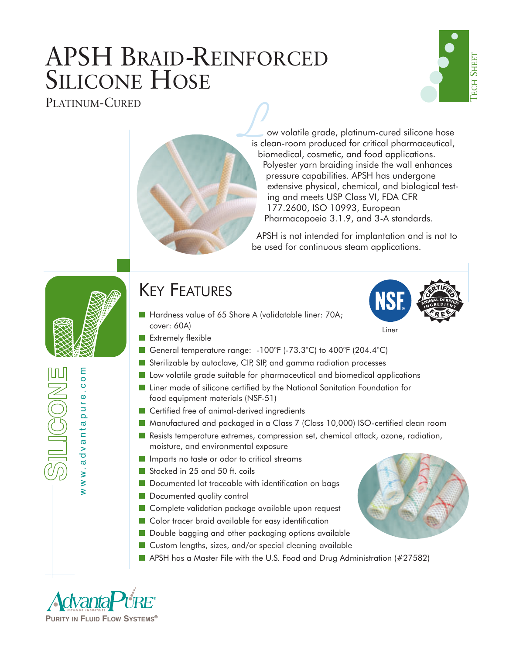# APSH BRAID-REINFORCED SILICONE HOSE PLATINUM-CURED ●



ow volatile grade, platinum-cured silicone hose **is clean-room** produced for critical pharmaceutical, biomedical, cosmetic, and food applications. Polyester yarn braiding inside the wall enhances pressure capabilities. APSH has undergone extensive physical, chemical, and biological testing and meets USP Class VI, FDA CFR 177.2600, ISO 10993, European Pharmacopoeia 3.1.9, and 3-A standards.

APSH is not intended for implantation and is not to be used for continuous steam applications.

## KEY FEATURES

- Hardness value of 65 Shore A (validatable liner: 70A; cover: 60A)
- Extremely flexible
- General temperature range: -100°F (-73.3°C) to 400°F (204.4°C)
- Sterilizable by autoclave, CIP, SIP, and gamma radiation processes
- Low volatile grade suitable for pharmaceutical and biomedical applications
- Liner made of silicone certified by the National Sanitation Foundation for food equipment materials (NSF-51)
- Certified free of animal-derived ingredients
- Manufactured and packaged in a Class 7 (Class 10,000) ISO-certified clean room
- Resists temperature extremes, compression set, chemical attack, ozone, radiation, moisture, and environmental exposure
- Imparts no taste or odor to critical streams
- Stocked in 25 and 50 ft. coils
- Documented lot traceable with identification on bags
- Documented quality control
- Complete validation package available upon request
- Color tracer braid available for easy identification
- Double bagging and other packaging options available
- Custom lengths, sizes, and/or special cleaning available
- APSH has a Master File with the U.S. Food and Drug Administration (#27582)



www.advantapure.com

dvanta

ww.a

ε  $0.0$  $\Phi$ pure

IKONE